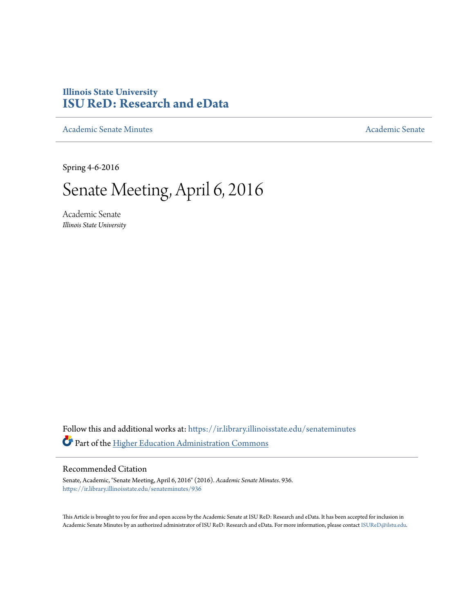## **Illinois State University [ISU ReD: Research and eData](https://ir.library.illinoisstate.edu?utm_source=ir.library.illinoisstate.edu%2Fsenateminutes%2F936&utm_medium=PDF&utm_campaign=PDFCoverPages)**

[Academic Senate Minutes](https://ir.library.illinoisstate.edu/senateminutes?utm_source=ir.library.illinoisstate.edu%2Fsenateminutes%2F936&utm_medium=PDF&utm_campaign=PDFCoverPages) [Academic Senate](https://ir.library.illinoisstate.edu/senate?utm_source=ir.library.illinoisstate.edu%2Fsenateminutes%2F936&utm_medium=PDF&utm_campaign=PDFCoverPages) Academic Senate

Spring 4-6-2016

# Senate Meeting, April 6, 2016

Academic Senate *Illinois State University*

Follow this and additional works at: [https://ir.library.illinoisstate.edu/senateminutes](https://ir.library.illinoisstate.edu/senateminutes?utm_source=ir.library.illinoisstate.edu%2Fsenateminutes%2F936&utm_medium=PDF&utm_campaign=PDFCoverPages) Part of the [Higher Education Administration Commons](http://network.bepress.com/hgg/discipline/791?utm_source=ir.library.illinoisstate.edu%2Fsenateminutes%2F936&utm_medium=PDF&utm_campaign=PDFCoverPages)

#### Recommended Citation

Senate, Academic, "Senate Meeting, April 6, 2016" (2016). *Academic Senate Minutes*. 936. [https://ir.library.illinoisstate.edu/senateminutes/936](https://ir.library.illinoisstate.edu/senateminutes/936?utm_source=ir.library.illinoisstate.edu%2Fsenateminutes%2F936&utm_medium=PDF&utm_campaign=PDFCoverPages)

This Article is brought to you for free and open access by the Academic Senate at ISU ReD: Research and eData. It has been accepted for inclusion in Academic Senate Minutes by an authorized administrator of ISU ReD: Research and eData. For more information, please contact [ISUReD@ilstu.edu.](mailto:ISUReD@ilstu.edu)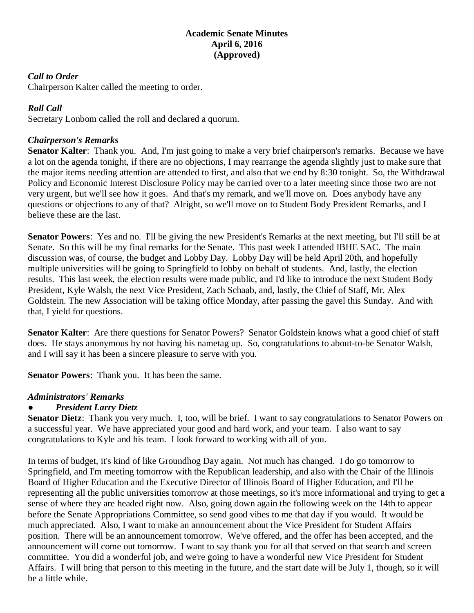#### **Academic Senate Minutes April 6, 2016 (Approved)**

#### *Call to Order*

Chairperson Kalter called the meeting to order.

#### *Roll Call*

Secretary Lonbom called the roll and declared a quorum.

#### *Chairperson's Remarks*

**Senator Kalter**: Thank you. And, I'm just going to make a very brief chairperson's remarks. Because we have a lot on the agenda tonight, if there are no objections, I may rearrange the agenda slightly just to make sure that the major items needing attention are attended to first, and also that we end by 8:30 tonight. So, the Withdrawal Policy and Economic Interest Disclosure Policy may be carried over to a later meeting since those two are not very urgent, but we'll see how it goes. And that's my remark, and we'll move on. Does anybody have any questions or objections to any of that? Alright, so we'll move on to Student Body President Remarks, and I believe these are the last.

**Senator Powers**: Yes and no. I'll be giving the new President's Remarks at the next meeting, but I'll still be at Senate. So this will be my final remarks for the Senate. This past week I attended IBHE SAC. The main discussion was, of course, the budget and Lobby Day. Lobby Day will be held April 20th, and hopefully multiple universities will be going to Springfield to lobby on behalf of students. And, lastly, the election results. This last week, the election results were made public, and I'd like to introduce the next Student Body President, Kyle Walsh, the next Vice President, Zach Schaab, and, lastly, the Chief of Staff, Mr. Alex Goldstein. The new Association will be taking office Monday, after passing the gavel this Sunday. And with that, I yield for questions.

**Senator Kalter:** Are there questions for Senator Powers? Senator Goldstein knows what a good chief of staff does. He stays anonymous by not having his nametag up. So, congratulations to about-to-be Senator Walsh, and I will say it has been a sincere pleasure to serve with you.

**Senator Powers**: Thank you. It has been the same.

#### *Administrators' Remarks*

#### ● *President Larry Dietz*

**Senator Dietz**: Thank you very much. I, too, will be brief. I want to say congratulations to Senator Powers on a successful year. We have appreciated your good and hard work, and your team. I also want to say congratulations to Kyle and his team. I look forward to working with all of you.

In terms of budget, it's kind of like Groundhog Day again. Not much has changed. I do go tomorrow to Springfield, and I'm meeting tomorrow with the Republican leadership, and also with the Chair of the Illinois Board of Higher Education and the Executive Director of Illinois Board of Higher Education, and I'll be representing all the public universities tomorrow at those meetings, so it's more informational and trying to get a sense of where they are headed right now. Also, going down again the following week on the 14th to appear before the Senate Appropriations Committee, so send good vibes to me that day if you would. It would be much appreciated. Also, I want to make an announcement about the Vice President for Student Affairs position. There will be an announcement tomorrow. We've offered, and the offer has been accepted, and the announcement will come out tomorrow. I want to say thank you for all that served on that search and screen committee. You did a wonderful job, and we're going to have a wonderful new Vice President for Student Affairs. I will bring that person to this meeting in the future, and the start date will be July 1, though, so it will be a little while.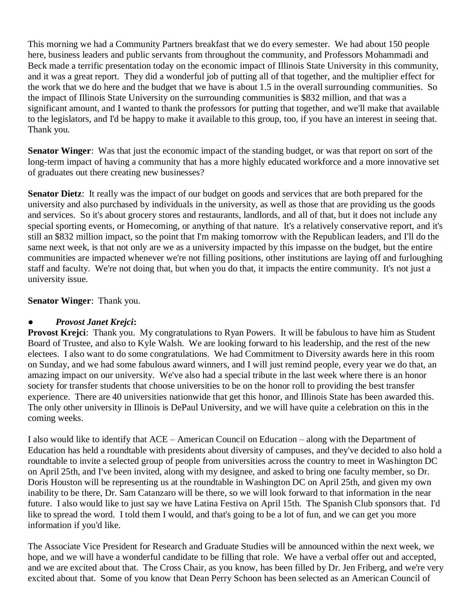This morning we had a Community Partners breakfast that we do every semester. We had about 150 people here, business leaders and public servants from throughout the community, and Professors Mohammadi and Beck made a terrific presentation today on the economic impact of Illinois State University in this community, and it was a great report. They did a wonderful job of putting all of that together, and the multiplier effect for the work that we do here and the budget that we have is about 1.5 in the overall surrounding communities. So the impact of Illinois State University on the surrounding communities is \$832 million, and that was a significant amount, and I wanted to thank the professors for putting that together, and we'll make that available to the legislators, and I'd be happy to make it available to this group, too, if you have an interest in seeing that. Thank you.

**Senator Winger**: Was that just the economic impact of the standing budget, or was that report on sort of the long-term impact of having a community that has a more highly educated workforce and a more innovative set of graduates out there creating new businesses?

**Senator Dietz**: It really was the impact of our budget on goods and services that are both prepared for the university and also purchased by individuals in the university, as well as those that are providing us the goods and services. So it's about grocery stores and restaurants, landlords, and all of that, but it does not include any special sporting events, or Homecoming, or anything of that nature. It's a relatively conservative report, and it's still an \$832 million impact, so the point that I'm making tomorrow with the Republican leaders, and I'll do the same next week, is that not only are we as a university impacted by this impasse on the budget, but the entire communities are impacted whenever we're not filling positions, other institutions are laying off and furloughing staff and faculty. We're not doing that, but when you do that, it impacts the entire community. It's not just a university issue.

**Senator Winger**: Thank you.

### ● *Provost Janet Krejci***:**

**Provost Krejci**: Thank you. My congratulations to Ryan Powers. It will be fabulous to have him as Student Board of Trustee, and also to Kyle Walsh. We are looking forward to his leadership, and the rest of the new electees. I also want to do some congratulations. We had Commitment to Diversity awards here in this room on Sunday, and we had some fabulous award winners, and I will just remind people, every year we do that, an amazing impact on our university. We've also had a special tribute in the last week where there is an honor society for transfer students that choose universities to be on the honor roll to providing the best transfer experience. There are 40 universities nationwide that get this honor, and Illinois State has been awarded this. The only other university in Illinois is DePaul University, and we will have quite a celebration on this in the coming weeks.

I also would like to identify that ACE – American Council on Education – along with the Department of Education has held a roundtable with presidents about diversity of campuses, and they've decided to also hold a roundtable to invite a selected group of people from universities across the country to meet in Washington DC on April 25th, and I've been invited, along with my designee, and asked to bring one faculty member, so Dr. Doris Houston will be representing us at the roundtable in Washington DC on April 25th, and given my own inability to be there, Dr. Sam Catanzaro will be there, so we will look forward to that information in the near future. I also would like to just say we have Latina Festiva on April 15th. The Spanish Club sponsors that. I'd like to spread the word. I told them I would, and that's going to be a lot of fun, and we can get you more information if you'd like.

The Associate Vice President for Research and Graduate Studies will be announced within the next week, we hope, and we will have a wonderful candidate to be filling that role. We have a verbal offer out and accepted, and we are excited about that. The Cross Chair, as you know, has been filled by Dr. Jen Friberg, and we're very excited about that. Some of you know that Dean Perry Schoon has been selected as an American Council of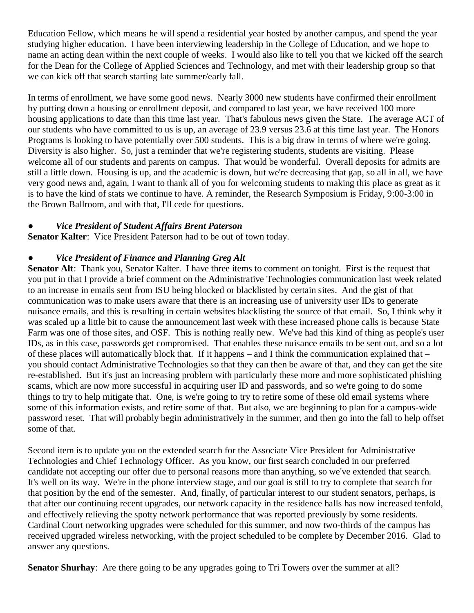Education Fellow, which means he will spend a residential year hosted by another campus, and spend the year studying higher education. I have been interviewing leadership in the College of Education, and we hope to name an acting dean within the next couple of weeks. I would also like to tell you that we kicked off the search for the Dean for the College of Applied Sciences and Technology, and met with their leadership group so that we can kick off that search starting late summer/early fall.

In terms of enrollment, we have some good news. Nearly 3000 new students have confirmed their enrollment by putting down a housing or enrollment deposit, and compared to last year, we have received 100 more housing applications to date than this time last year. That's fabulous news given the State. The average ACT of our students who have committed to us is up, an average of 23.9 versus 23.6 at this time last year. The Honors Programs is looking to have potentially over 500 students. This is a big draw in terms of where we're going. Diversity is also higher. So, just a reminder that we're registering students, students are visiting. Please welcome all of our students and parents on campus. That would be wonderful. Overall deposits for admits are still a little down. Housing is up, and the academic is down, but we're decreasing that gap, so all in all, we have very good news and, again, I want to thank all of you for welcoming students to making this place as great as it is to have the kind of stats we continue to have. A reminder, the Research Symposium is Friday, 9:00-3:00 in the Brown Ballroom, and with that, I'll cede for questions.

#### ● *Vice President of Student Affairs Brent Paterson*

**Senator Kalter**: Vice President Paterson had to be out of town today.

#### *Vice President of Finance and Planning Greg Alt*

**Senator Alt**: Thank you, Senator Kalter. I have three items to comment on tonight. First is the request that you put in that I provide a brief comment on the Administrative Technologies communication last week related to an increase in emails sent from ISU being blocked or blacklisted by certain sites. And the gist of that communication was to make users aware that there is an increasing use of university user IDs to generate nuisance emails, and this is resulting in certain websites blacklisting the source of that email. So, I think why it was scaled up a little bit to cause the announcement last week with these increased phone calls is because State Farm was one of those sites, and OSF. This is nothing really new. We've had this kind of thing as people's user IDs, as in this case, passwords get compromised. That enables these nuisance emails to be sent out, and so a lot of these places will automatically block that. If it happens – and I think the communication explained that – you should contact Administrative Technologies so that they can then be aware of that, and they can get the site re-established. But it's just an increasing problem with particularly these more and more sophisticated phishing scams, which are now more successful in acquiring user ID and passwords, and so we're going to do some things to try to help mitigate that. One, is we're going to try to retire some of these old email systems where some of this information exists, and retire some of that. But also, we are beginning to plan for a campus-wide password reset. That will probably begin administratively in the summer, and then go into the fall to help offset some of that.

Second item is to update you on the extended search for the Associate Vice President for Administrative Technologies and Chief Technology Officer. As you know, our first search concluded in our preferred candidate not accepting our offer due to personal reasons more than anything, so we've extended that search. It's well on its way. We're in the phone interview stage, and our goal is still to try to complete that search for that position by the end of the semester. And, finally, of particular interest to our student senators, perhaps, is that after our continuing recent upgrades, our network capacity in the residence halls has now increased tenfold, and effectively relieving the spotty network performance that was reported previously by some residents. Cardinal Court networking upgrades were scheduled for this summer, and now two-thirds of the campus has received upgraded wireless networking, with the project scheduled to be complete by December 2016. Glad to answer any questions.

**Senator Shurhay**: Are there going to be any upgrades going to Tri Towers over the summer at all?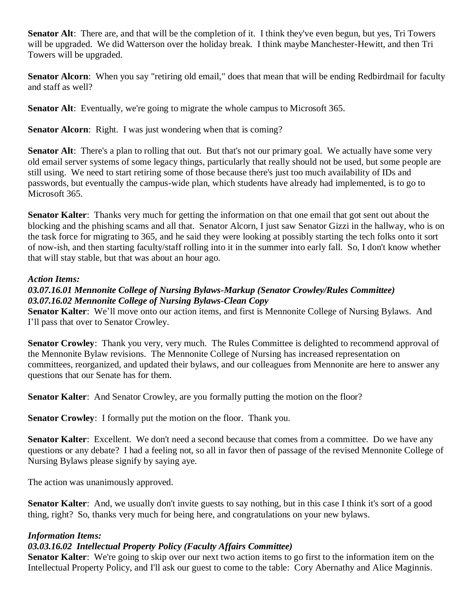**Senator Alt**: There are, and that will be the completion of it. I think they've even begun, but yes, Tri Towers will be upgraded. We did Watterson over the holiday break. I think maybe Manchester-Hewitt, and then Tri Towers will be upgraded.

**Senator Alcorn**: When you say "retiring old email," does that mean that will be ending Redbirdmail for faculty and staff as well?

**Senator Alt**: Eventually, we're going to migrate the whole campus to Microsoft 365.

**Senator Alcorn:** Right. I was just wondering when that is coming?

**Senator Alt**: There's a plan to rolling that out. But that's not our primary goal. We actually have some very old email server systems of some legacy things, particularly that really should not be used, but some people are still using. We need to start retiring some of those because there's just too much availability of IDs and passwords, but eventually the campus-wide plan, which students have already had implemented, is to go to Microsoft 365.

**Senator Kalter**: Thanks very much for getting the information on that one email that got sent out about the blocking and the phishing scams and all that. Senator Alcorn, I just saw Senator Gizzi in the hallway, who is on the task force for migrating to 365, and he said they were looking at possibly starting the tech folks onto it sort of now-ish, and then starting faculty/staff rolling into it in the summer into early fall. So, I don't know whether that will stay stable, but that was about an hour ago.

#### *Action Items:*

#### *03.07.16.01 Mennonite College of Nursing Bylaws-Markup (Senator Crowley/Rules Committee) 03.07.16.02 Mennonite College of Nursing Bylaws-Clean Copy*

**Senator Kalter**: We'll move onto our action items, and first is Mennonite College of Nursing Bylaws. And I'll pass that over to Senator Crowley.

**Senator Crowley**: Thank you very, very much. The Rules Committee is delighted to recommend approval of the Mennonite Bylaw revisions. The Mennonite College of Nursing has increased representation on committees, reorganized, and updated their bylaws, and our colleagues from Mennonite are here to answer any questions that our Senate has for them.

**Senator Kalter:** And Senator Crowley, are you formally putting the motion on the floor?

**Senator Crowley**: I formally put the motion on the floor. Thank you.

**Senator Kalter**: Excellent. We don't need a second because that comes from a committee. Do we have any questions or any debate? I had a feeling not, so all in favor then of passage of the revised Mennonite College of Nursing Bylaws please signify by saying aye.

The action was unanimously approved.

**Senator Kalter**: And, we usually don't invite guests to say nothing, but in this case I think it's sort of a good thing, right? So, thanks very much for being here, and congratulations on your new bylaws.

### *Information Items:*

### *03.03.16.02 Intellectual Property Policy (Faculty Affairs Committee)*

**Senator Kalter**: We're going to skip over our next two action items to go first to the information item on the Intellectual Property Policy, and I'll ask our guest to come to the table: Cory Abernathy and Alice Maginnis.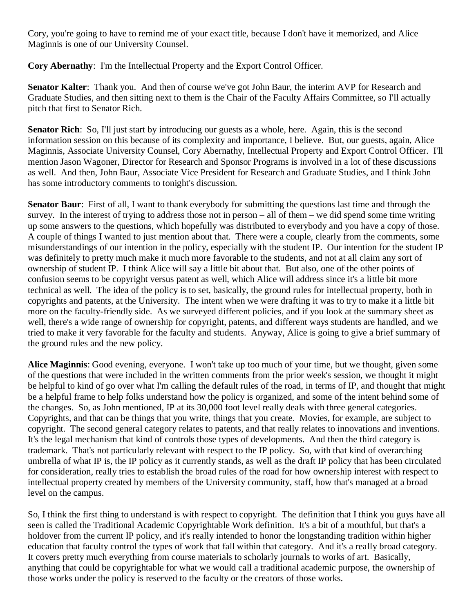Cory, you're going to have to remind me of your exact title, because I don't have it memorized, and Alice Maginnis is one of our University Counsel.

**Cory Abernathy**: I'm the Intellectual Property and the Export Control Officer.

**Senator Kalter**: Thank you. And then of course we've got John Baur, the interim AVP for Research and Graduate Studies, and then sitting next to them is the Chair of the Faculty Affairs Committee, so I'll actually pitch that first to Senator Rich.

**Senator Rich**: So, I'll just start by introducing our guests as a whole, here. Again, this is the second information session on this because of its complexity and importance, I believe. But, our guests, again, Alice Maginnis, Associate University Counsel, Cory Abernathy, Intellectual Property and Export Control Officer. I'll mention Jason Wagoner, Director for Research and Sponsor Programs is involved in a lot of these discussions as well. And then, John Baur, Associate Vice President for Research and Graduate Studies, and I think John has some introductory comments to tonight's discussion.

**Senator Baur**: First of all, I want to thank everybody for submitting the questions last time and through the survey. In the interest of trying to address those not in person – all of them – we did spend some time writing up some answers to the questions, which hopefully was distributed to everybody and you have a copy of those. A couple of things I wanted to just mention about that. There were a couple, clearly from the comments, some misunderstandings of our intention in the policy, especially with the student IP. Our intention for the student IP was definitely to pretty much make it much more favorable to the students, and not at all claim any sort of ownership of student IP. I think Alice will say a little bit about that. But also, one of the other points of confusion seems to be copyright versus patent as well, which Alice will address since it's a little bit more technical as well. The idea of the policy is to set, basically, the ground rules for intellectual property, both in copyrights and patents, at the University. The intent when we were drafting it was to try to make it a little bit more on the faculty-friendly side. As we surveyed different policies, and if you look at the summary sheet as well, there's a wide range of ownership for copyright, patents, and different ways students are handled, and we tried to make it very favorable for the faculty and students. Anyway, Alice is going to give a brief summary of the ground rules and the new policy.

**Alice Maginnis**: Good evening, everyone. I won't take up too much of your time, but we thought, given some of the questions that were included in the written comments from the prior week's session, we thought it might be helpful to kind of go over what I'm calling the default rules of the road, in terms of IP, and thought that might be a helpful frame to help folks understand how the policy is organized, and some of the intent behind some of the changes. So, as John mentioned, IP at its 30,000 foot level really deals with three general categories. Copyrights, and that can be things that you write, things that you create. Movies, for example, are subject to copyright. The second general category relates to patents, and that really relates to innovations and inventions. It's the legal mechanism that kind of controls those types of developments. And then the third category is trademark. That's not particularly relevant with respect to the IP policy. So, with that kind of overarching umbrella of what IP is, the IP policy as it currently stands, as well as the draft IP policy that has been circulated for consideration, really tries to establish the broad rules of the road for how ownership interest with respect to intellectual property created by members of the University community, staff, how that's managed at a broad level on the campus.

So, I think the first thing to understand is with respect to copyright. The definition that I think you guys have all seen is called the Traditional Academic Copyrightable Work definition. It's a bit of a mouthful, but that's a holdover from the current IP policy, and it's really intended to honor the longstanding tradition within higher education that faculty control the types of work that fall within that category. And it's a really broad category. It covers pretty much everything from course materials to scholarly journals to works of art. Basically, anything that could be copyrightable for what we would call a traditional academic purpose, the ownership of those works under the policy is reserved to the faculty or the creators of those works.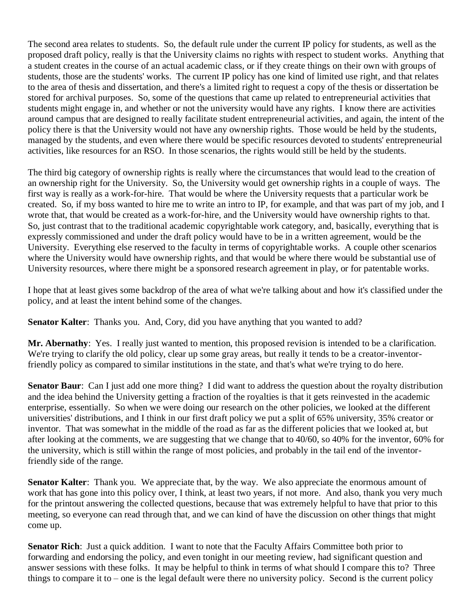The second area relates to students. So, the default rule under the current IP policy for students, as well as the proposed draft policy, really is that the University claims no rights with respect to student works. Anything that a student creates in the course of an actual academic class, or if they create things on their own with groups of students, those are the students' works. The current IP policy has one kind of limited use right, and that relates to the area of thesis and dissertation, and there's a limited right to request a copy of the thesis or dissertation be stored for archival purposes. So, some of the questions that came up related to entrepreneurial activities that students might engage in, and whether or not the university would have any rights. I know there are activities around campus that are designed to really facilitate student entrepreneurial activities, and again, the intent of the policy there is that the University would not have any ownership rights. Those would be held by the students, managed by the students, and even where there would be specific resources devoted to students' entrepreneurial activities, like resources for an RSO. In those scenarios, the rights would still be held by the students.

The third big category of ownership rights is really where the circumstances that would lead to the creation of an ownership right for the University. So, the University would get ownership rights in a couple of ways. The first way is really as a work-for-hire. That would be where the University requests that a particular work be created. So, if my boss wanted to hire me to write an intro to IP, for example, and that was part of my job, and I wrote that, that would be created as a work-for-hire, and the University would have ownership rights to that. So, just contrast that to the traditional academic copyrightable work category, and, basically, everything that is expressly commissioned and under the draft policy would have to be in a written agreement, would be the University. Everything else reserved to the faculty in terms of copyrightable works. A couple other scenarios where the University would have ownership rights, and that would be where there would be substantial use of University resources, where there might be a sponsored research agreement in play, or for patentable works.

I hope that at least gives some backdrop of the area of what we're talking about and how it's classified under the policy, and at least the intent behind some of the changes.

**Senator Kalter**: Thanks you. And, Cory, did you have anything that you wanted to add?

**Mr. Abernathy**: Yes. I really just wanted to mention, this proposed revision is intended to be a clarification. We're trying to clarify the old policy, clear up some gray areas, but really it tends to be a creator-inventorfriendly policy as compared to similar institutions in the state, and that's what we're trying to do here.

**Senator Baur**: Can I just add one more thing? I did want to address the question about the royalty distribution and the idea behind the University getting a fraction of the royalties is that it gets reinvested in the academic enterprise, essentially. So when we were doing our research on the other policies, we looked at the different universities' distributions, and I think in our first draft policy we put a split of 65% university, 35% creator or inventor. That was somewhat in the middle of the road as far as the different policies that we looked at, but after looking at the comments, we are suggesting that we change that to 40/60, so 40% for the inventor, 60% for the university, which is still within the range of most policies, and probably in the tail end of the inventorfriendly side of the range.

**Senator Kalter**: Thank you. We appreciate that, by the way. We also appreciate the enormous amount of work that has gone into this policy over, I think, at least two years, if not more. And also, thank you very much for the printout answering the collected questions, because that was extremely helpful to have that prior to this meeting, so everyone can read through that, and we can kind of have the discussion on other things that might come up.

**Senator Rich**: Just a quick addition. I want to note that the Faculty Affairs Committee both prior to forwarding and endorsing the policy, and even tonight in our meeting review, had significant question and answer sessions with these folks. It may be helpful to think in terms of what should I compare this to? Three things to compare it to – one is the legal default were there no university policy. Second is the current policy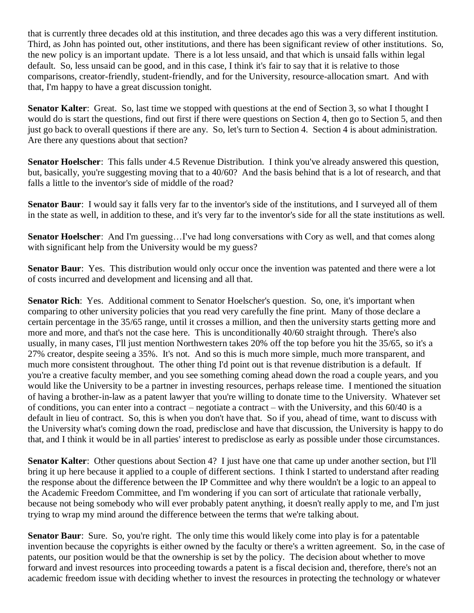that is currently three decades old at this institution, and three decades ago this was a very different institution. Third, as John has pointed out, other institutions, and there has been significant review of other institutions. So, the new policy is an important update. There is a lot less unsaid, and that which is unsaid falls within legal default. So, less unsaid can be good, and in this case, I think it's fair to say that it is relative to those comparisons, creator-friendly, student-friendly, and for the University, resource-allocation smart. And with that, I'm happy to have a great discussion tonight.

**Senator Kalter**: Great. So, last time we stopped with questions at the end of Section 3, so what I thought I would do is start the questions, find out first if there were questions on Section 4, then go to Section 5, and then just go back to overall questions if there are any. So, let's turn to Section 4. Section 4 is about administration. Are there any questions about that section?

**Senator Hoelscher**: This falls under 4.5 Revenue Distribution. I think you've already answered this question, but, basically, you're suggesting moving that to a 40/60? And the basis behind that is a lot of research, and that falls a little to the inventor's side of middle of the road?

**Senator Baur**: I would say it falls very far to the inventor's side of the institutions, and I surveyed all of them in the state as well, in addition to these, and it's very far to the inventor's side for all the state institutions as well.

**Senator Hoelscher**: And I'm guessing…I've had long conversations with Cory as well, and that comes along with significant help from the University would be my guess?

**Senator Baur**: Yes. This distribution would only occur once the invention was patented and there were a lot of costs incurred and development and licensing and all that.

**Senator Rich**: Yes. Additional comment to Senator Hoelscher's question. So, one, it's important when comparing to other university policies that you read very carefully the fine print. Many of those declare a certain percentage in the 35/65 range, until it crosses a million, and then the university starts getting more and more and more, and that's not the case here. This is unconditionally 40/60 straight through. There's also usually, in many cases, I'll just mention Northwestern takes 20% off the top before you hit the 35/65, so it's a 27% creator, despite seeing a 35%. It's not. And so this is much more simple, much more transparent, and much more consistent throughout. The other thing I'd point out is that revenue distribution is a default. If you're a creative faculty member, and you see something coming ahead down the road a couple years, and you would like the University to be a partner in investing resources, perhaps release time. I mentioned the situation of having a brother-in-law as a patent lawyer that you're willing to donate time to the University. Whatever set of conditions, you can enter into a contract – negotiate a contract – with the University, and this 60/40 is a default in lieu of contract. So, this is when you don't have that. So if you, ahead of time, want to discuss with the University what's coming down the road, predisclose and have that discussion, the University is happy to do that, and I think it would be in all parties' interest to predisclose as early as possible under those circumstances.

**Senator Kalter**: Other questions about Section 4? I just have one that came up under another section, but I'll bring it up here because it applied to a couple of different sections. I think I started to understand after reading the response about the difference between the IP Committee and why there wouldn't be a logic to an appeal to the Academic Freedom Committee, and I'm wondering if you can sort of articulate that rationale verbally, because not being somebody who will ever probably patent anything, it doesn't really apply to me, and I'm just trying to wrap my mind around the difference between the terms that we're talking about.

**Senator Baur**: Sure. So, you're right. The only time this would likely come into play is for a patentable invention because the copyrights is either owned by the faculty or there's a written agreement. So, in the case of patents, our position would be that the ownership is set by the policy. The decision about whether to move forward and invest resources into proceeding towards a patent is a fiscal decision and, therefore, there's not an academic freedom issue with deciding whether to invest the resources in protecting the technology or whatever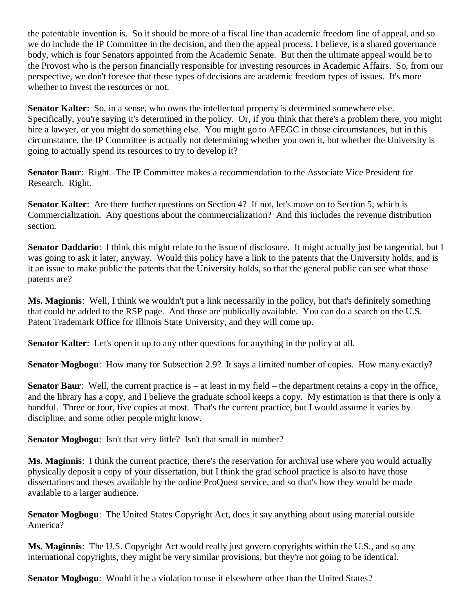the patentable invention is. So it should be more of a fiscal line than academic freedom line of appeal, and so we do include the IP Committee in the decision, and then the appeal process, I believe, is a shared governance body, which is four Senators appointed from the Academic Senate. But then the ultimate appeal would be to the Provost who is the person financially responsible for investing resources in Academic Affairs. So, from our perspective, we don't foresee that these types of decisions are academic freedom types of issues. It's more whether to invest the resources or not.

**Senator Kalter**: So, in a sense, who owns the intellectual property is determined somewhere else. Specifically, you're saying it's determined in the policy. Or, if you think that there's a problem there, you might hire a lawyer, or you might do something else. You might go to AFEGC in those circumstances, but in this circumstance, the IP Committee is actually not determining whether you own it, but whether the University is going to actually spend its resources to try to develop it?

**Senator Baur:** Right. The IP Committee makes a recommendation to the Associate Vice President for Research. Right.

**Senator Kalter**: Are there further questions on Section 4? If not, let's move on to Section 5, which is Commercialization. Any questions about the commercialization? And this includes the revenue distribution section.

**Senator Daddario**: I think this might relate to the issue of disclosure. It might actually just be tangential, but I was going to ask it later, anyway. Would this policy have a link to the patents that the University holds, and is it an issue to make public the patents that the University holds, so that the general public can see what those patents are?

**Ms. Maginnis**: Well, I think we wouldn't put a link necessarily in the policy, but that's definitely something that could be added to the RSP page. And those are publically available. You can do a search on the U.S. Patent Trademark Office for Illinois State University, and they will come up.

**Senator Kalter**: Let's open it up to any other questions for anything in the policy at all.

**Senator Mogbogu**: How many for Subsection 2.9? It says a limited number of copies. How many exactly?

**Senator Baur**: Well, the current practice is – at least in my field – the department retains a copy in the office, and the library has a copy, and I believe the graduate school keeps a copy. My estimation is that there is only a handful. Three or four, five copies at most. That's the current practice, but I would assume it varies by discipline, and some other people might know.

**Senator Mogbogu:** Isn't that very little? Isn't that small in number?

**Ms. Maginnis**: I think the current practice, there's the reservation for archival use where you would actually physically deposit a copy of your dissertation, but I think the grad school practice is also to have those dissertations and theses available by the online ProQuest service, and so that's how they would be made available to a larger audience.

**Senator Mogbogu**: The United States Copyright Act, does it say anything about using material outside America?

**Ms. Maginnis**: The U.S. Copyright Act would really just govern copyrights within the U.S., and so any international copyrights, they might be very similar provisions, but they're not going to be identical.

**Senator Mogbogu**: Would it be a violation to use it elsewhere other than the United States?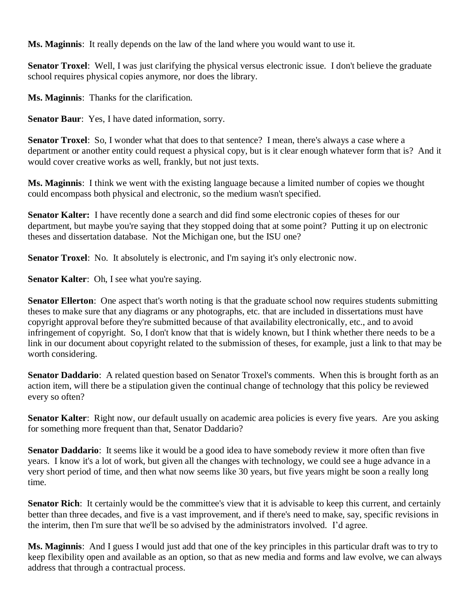**Ms. Maginnis**: It really depends on the law of the land where you would want to use it.

**Senator Troxel**: Well, I was just clarifying the physical versus electronic issue. I don't believe the graduate school requires physical copies anymore, nor does the library.

**Ms. Maginnis**: Thanks for the clarification.

**Senator Baur**: Yes, I have dated information, sorry.

**Senator Troxel**: So, I wonder what that does to that sentence? I mean, there's always a case where a department or another entity could request a physical copy, but is it clear enough whatever form that is? And it would cover creative works as well, frankly, but not just texts.

**Ms. Maginnis**: I think we went with the existing language because a limited number of copies we thought could encompass both physical and electronic, so the medium wasn't specified.

**Senator Kalter:** I have recently done a search and did find some electronic copies of theses for our department, but maybe you're saying that they stopped doing that at some point? Putting it up on electronic theses and dissertation database. Not the Michigan one, but the ISU one?

**Senator Troxel**: No. It absolutely is electronic, and I'm saying it's only electronic now.

**Senator Kalter**: Oh, I see what you're saying.

**Senator Ellerton**: One aspect that's worth noting is that the graduate school now requires students submitting theses to make sure that any diagrams or any photographs, etc. that are included in dissertations must have copyright approval before they're submitted because of that availability electronically, etc., and to avoid infringement of copyright. So, I don't know that that is widely known, but I think whether there needs to be a link in our document about copyright related to the submission of theses, for example, just a link to that may be worth considering.

**Senator Daddario**: A related question based on Senator Troxel's comments. When this is brought forth as an action item, will there be a stipulation given the continual change of technology that this policy be reviewed every so often?

**Senator Kalter**: Right now, our default usually on academic area policies is every five years. Are you asking for something more frequent than that, Senator Daddario?

**Senator Daddario**: It seems like it would be a good idea to have somebody review it more often than five years. I know it's a lot of work, but given all the changes with technology, we could see a huge advance in a very short period of time, and then what now seems like 30 years, but five years might be soon a really long time.

**Senator Rich**: It certainly would be the committee's view that it is advisable to keep this current, and certainly better than three decades, and five is a vast improvement, and if there's need to make, say, specific revisions in the interim, then I'm sure that we'll be so advised by the administrators involved. I'd agree.

**Ms. Maginnis**: And I guess I would just add that one of the key principles in this particular draft was to try to keep flexibility open and available as an option, so that as new media and forms and law evolve, we can always address that through a contractual process.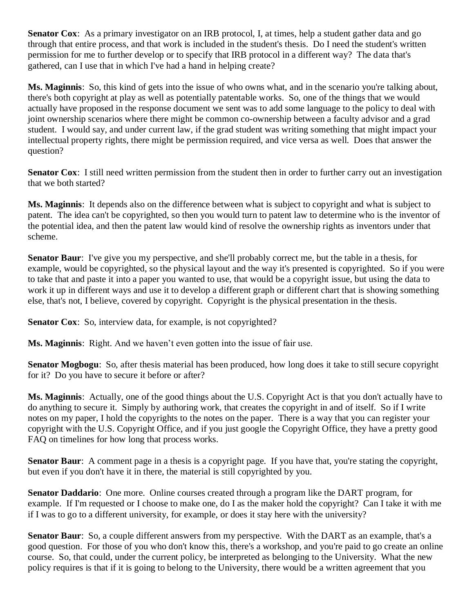**Senator Cox**: As a primary investigator on an IRB protocol, I, at times, help a student gather data and go through that entire process, and that work is included in the student's thesis. Do I need the student's written permission for me to further develop or to specify that IRB protocol in a different way? The data that's gathered, can I use that in which I've had a hand in helping create?

**Ms. Maginnis**: So, this kind of gets into the issue of who owns what, and in the scenario you're talking about, there's both copyright at play as well as potentially patentable works. So, one of the things that we would actually have proposed in the response document we sent was to add some language to the policy to deal with joint ownership scenarios where there might be common co-ownership between a faculty advisor and a grad student. I would say, and under current law, if the grad student was writing something that might impact your intellectual property rights, there might be permission required, and vice versa as well. Does that answer the question?

**Senator Cox**: I still need written permission from the student then in order to further carry out an investigation that we both started?

**Ms. Maginnis**: It depends also on the difference between what is subject to copyright and what is subject to patent. The idea can't be copyrighted, so then you would turn to patent law to determine who is the inventor of the potential idea, and then the patent law would kind of resolve the ownership rights as inventors under that scheme.

**Senator Baur**: I've give you my perspective, and she'll probably correct me, but the table in a thesis, for example, would be copyrighted, so the physical layout and the way it's presented is copyrighted. So if you were to take that and paste it into a paper you wanted to use, that would be a copyright issue, but using the data to work it up in different ways and use it to develop a different graph or different chart that is showing something else, that's not, I believe, covered by copyright. Copyright is the physical presentation in the thesis.

**Senator Cox:** So, interview data, for example, is not copyrighted?

**Ms. Maginnis**: Right. And we haven't even gotten into the issue of fair use.

**Senator Mogbogu**: So, after thesis material has been produced, how long does it take to still secure copyright for it? Do you have to secure it before or after?

**Ms. Maginnis**: Actually, one of the good things about the U.S. Copyright Act is that you don't actually have to do anything to secure it. Simply by authoring work, that creates the copyright in and of itself. So if I write notes on my paper, I hold the copyrights to the notes on the paper. There is a way that you can register your copyright with the U.S. Copyright Office, and if you just google the Copyright Office, they have a pretty good FAQ on timelines for how long that process works.

**Senator Baur**: A comment page in a thesis is a copyright page. If you have that, you're stating the copyright, but even if you don't have it in there, the material is still copyrighted by you.

**Senator Daddario**: One more. Online courses created through a program like the DART program, for example. If I'm requested or I choose to make one, do I as the maker hold the copyright? Can I take it with me if I was to go to a different university, for example, or does it stay here with the university?

**Senator Baur**: So, a couple different answers from my perspective. With the DART as an example, that's a good question. For those of you who don't know this, there's a workshop, and you're paid to go create an online course. So, that could, under the current policy, be interpreted as belonging to the University. What the new policy requires is that if it is going to belong to the University, there would be a written agreement that you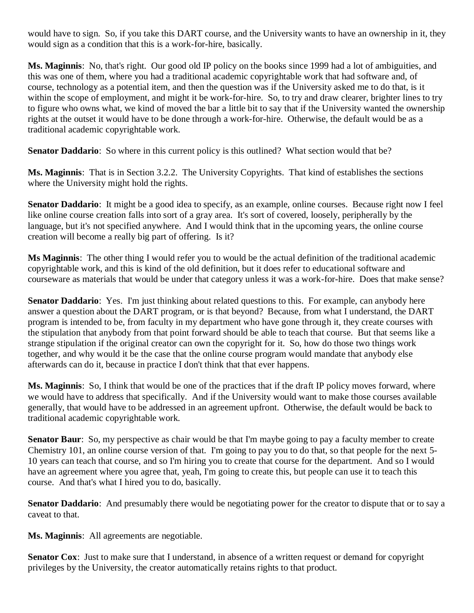would have to sign. So, if you take this DART course, and the University wants to have an ownership in it, they would sign as a condition that this is a work-for-hire, basically.

**Ms. Maginnis**: No, that's right. Our good old IP policy on the books since 1999 had a lot of ambiguities, and this was one of them, where you had a traditional academic copyrightable work that had software and, of course, technology as a potential item, and then the question was if the University asked me to do that, is it within the scope of employment, and might it be work-for-hire. So, to try and draw clearer, brighter lines to try to figure who owns what, we kind of moved the bar a little bit to say that if the University wanted the ownership rights at the outset it would have to be done through a work-for-hire. Otherwise, the default would be as a traditional academic copyrightable work.

**Senator Daddario**: So where in this current policy is this outlined? What section would that be?

**Ms. Maginnis**: That is in Section 3.2.2. The University Copyrights. That kind of establishes the sections where the University might hold the rights.

**Senator Daddario**: It might be a good idea to specify, as an example, online courses. Because right now I feel like online course creation falls into sort of a gray area. It's sort of covered, loosely, peripherally by the language, but it's not specified anywhere. And I would think that in the upcoming years, the online course creation will become a really big part of offering. Is it?

**Ms Maginnis**: The other thing I would refer you to would be the actual definition of the traditional academic copyrightable work, and this is kind of the old definition, but it does refer to educational software and courseware as materials that would be under that category unless it was a work-for-hire. Does that make sense?

**Senator Daddario**: Yes. I'm just thinking about related questions to this. For example, can anybody here answer a question about the DART program, or is that beyond? Because, from what I understand, the DART program is intended to be, from faculty in my department who have gone through it, they create courses with the stipulation that anybody from that point forward should be able to teach that course. But that seems like a strange stipulation if the original creator can own the copyright for it. So, how do those two things work together, and why would it be the case that the online course program would mandate that anybody else afterwards can do it, because in practice I don't think that that ever happens.

**Ms. Maginnis**: So, I think that would be one of the practices that if the draft IP policy moves forward, where we would have to address that specifically. And if the University would want to make those courses available generally, that would have to be addressed in an agreement upfront. Otherwise, the default would be back to traditional academic copyrightable work.

**Senator Baur**: So, my perspective as chair would be that I'm maybe going to pay a faculty member to create Chemistry 101, an online course version of that. I'm going to pay you to do that, so that people for the next 5- 10 years can teach that course, and so I'm hiring you to create that course for the department. And so I would have an agreement where you agree that, yeah, I'm going to create this, but people can use it to teach this course. And that's what I hired you to do, basically.

**Senator Daddario**: And presumably there would be negotiating power for the creator to dispute that or to say a caveat to that.

**Ms. Maginnis**: All agreements are negotiable.

**Senator Cox**: Just to make sure that I understand, in absence of a written request or demand for copyright privileges by the University, the creator automatically retains rights to that product.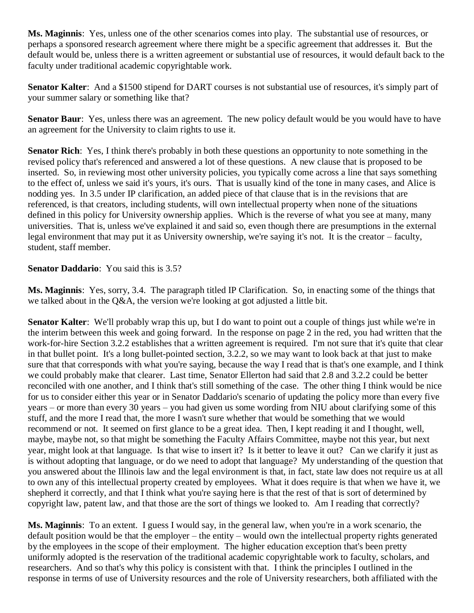**Ms. Maginnis**: Yes, unless one of the other scenarios comes into play. The substantial use of resources, or perhaps a sponsored research agreement where there might be a specific agreement that addresses it. But the default would be, unless there is a written agreement or substantial use of resources, it would default back to the faculty under traditional academic copyrightable work.

**Senator Kalter**: And a \$1500 stipend for DART courses is not substantial use of resources, it's simply part of your summer salary or something like that?

**Senator Baur**: Yes, unless there was an agreement. The new policy default would be you would have to have an agreement for the University to claim rights to use it.

**Senator Rich**: Yes, I think there's probably in both these questions an opportunity to note something in the revised policy that's referenced and answered a lot of these questions. A new clause that is proposed to be inserted. So, in reviewing most other university policies, you typically come across a line that says something to the effect of, unless we said it's yours, it's ours. That is usually kind of the tone in many cases, and Alice is nodding yes. In 3.5 under IP clarification, an added piece of that clause that is in the revisions that are referenced, is that creators, including students, will own intellectual property when none of the situations defined in this policy for University ownership applies. Which is the reverse of what you see at many, many universities. That is, unless we've explained it and said so, even though there are presumptions in the external legal environment that may put it as University ownership, we're saying it's not. It is the creator – faculty, student, staff member.

#### **Senator Daddario**: You said this is 3.5?

**Ms. Maginnis**: Yes, sorry, 3.4. The paragraph titled IP Clarification. So, in enacting some of the things that we talked about in the Q&A, the version we're looking at got adjusted a little bit.

**Senator Kalter**: We'll probably wrap this up, but I do want to point out a couple of things just while we're in the interim between this week and going forward. In the response on page 2 in the red, you had written that the work-for-hire Section 3.2.2 establishes that a written agreement is required. I'm not sure that it's quite that clear in that bullet point. It's a long bullet-pointed section, 3.2.2, so we may want to look back at that just to make sure that that corresponds with what you're saying, because the way I read that is that's one example, and I think we could probably make that clearer. Last time, Senator Ellerton had said that 2.8 and 3.2.2 could be better reconciled with one another, and I think that's still something of the case. The other thing I think would be nice for us to consider either this year or in Senator Daddario's scenario of updating the policy more than every five years – or more than every 30 years – you had given us some wording from NIU about clarifying some of this stuff, and the more I read that, the more I wasn't sure whether that would be something that we would recommend or not. It seemed on first glance to be a great idea. Then, I kept reading it and I thought, well, maybe, maybe not, so that might be something the Faculty Affairs Committee, maybe not this year, but next year, might look at that language. Is that wise to insert it? Is it better to leave it out? Can we clarify it just as is without adopting that language, or do we need to adopt that language? My understanding of the question that you answered about the Illinois law and the legal environment is that, in fact, state law does not require us at all to own any of this intellectual property created by employees. What it does require is that when we have it, we shepherd it correctly, and that I think what you're saying here is that the rest of that is sort of determined by copyright law, patent law, and that those are the sort of things we looked to. Am I reading that correctly?

**Ms. Maginnis**: To an extent. I guess I would say, in the general law, when you're in a work scenario, the default position would be that the employer – the entity – would own the intellectual property rights generated by the employees in the scope of their employment. The higher education exception that's been pretty uniformly adopted is the reservation of the traditional academic copyrightable work to faculty, scholars, and researchers. And so that's why this policy is consistent with that. I think the principles I outlined in the response in terms of use of University resources and the role of University researchers, both affiliated with the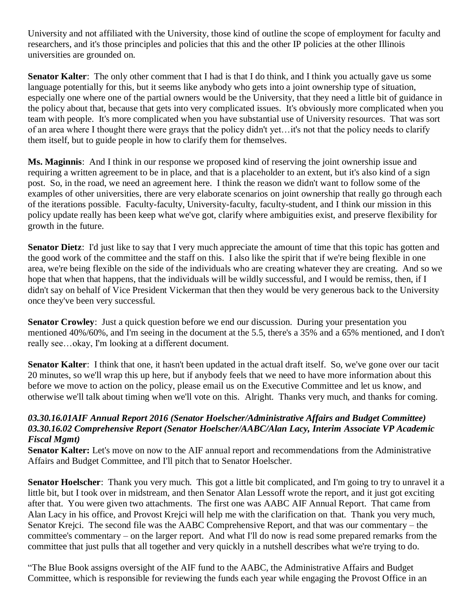University and not affiliated with the University, those kind of outline the scope of employment for faculty and researchers, and it's those principles and policies that this and the other IP policies at the other Illinois universities are grounded on.

**Senator Kalter**: The only other comment that I had is that I do think, and I think you actually gave us some language potentially for this, but it seems like anybody who gets into a joint ownership type of situation, especially one where one of the partial owners would be the University, that they need a little bit of guidance in the policy about that, because that gets into very complicated issues. It's obviously more complicated when you team with people. It's more complicated when you have substantial use of University resources. That was sort of an area where I thought there were grays that the policy didn't yet…it's not that the policy needs to clarify them itself, but to guide people in how to clarify them for themselves.

**Ms. Maginnis**: And I think in our response we proposed kind of reserving the joint ownership issue and requiring a written agreement to be in place, and that is a placeholder to an extent, but it's also kind of a sign post. So, in the road, we need an agreement here. I think the reason we didn't want to follow some of the examples of other universities, there are very elaborate scenarios on joint ownership that really go through each of the iterations possible. Faculty-faculty, University-faculty, faculty-student, and I think our mission in this policy update really has been keep what we've got, clarify where ambiguities exist, and preserve flexibility for growth in the future.

**Senator Dietz**: I'd just like to say that I very much appreciate the amount of time that this topic has gotten and the good work of the committee and the staff on this. I also like the spirit that if we're being flexible in one area, we're being flexible on the side of the individuals who are creating whatever they are creating. And so we hope that when that happens, that the individuals will be wildly successful, and I would be remiss, then, if I didn't say on behalf of Vice President Vickerman that then they would be very generous back to the University once they've been very successful.

**Senator Crowley**: Just a quick question before we end our discussion. During your presentation you mentioned 40%/60%, and I'm seeing in the document at the 5.5, there's a 35% and a 65% mentioned, and I don't really see…okay, I'm looking at a different document.

**Senator Kalter**: I think that one, it hasn't been updated in the actual draft itself. So, we've gone over our tacit 20 minutes, so we'll wrap this up here, but if anybody feels that we need to have more information about this before we move to action on the policy, please email us on the Executive Committee and let us know, and otherwise we'll talk about timing when we'll vote on this. Alright. Thanks very much, and thanks for coming.

#### *03.30.16.01AIF Annual Report 2016 (Senator Hoelscher/Administrative Affairs and Budget Committee) 03.30.16.02 Comprehensive Report (Senator Hoelscher/AABC/Alan Lacy, Interim Associate VP Academic Fiscal Mgmt)*

**Senator Kalter:** Let's move on now to the AIF annual report and recommendations from the Administrative Affairs and Budget Committee, and I'll pitch that to Senator Hoelscher.

**Senator Hoelscher**: Thank you very much. This got a little bit complicated, and I'm going to try to unravel it a little bit, but I took over in midstream, and then Senator Alan Lessoff wrote the report, and it just got exciting after that. You were given two attachments. The first one was AABC AIF Annual Report. That came from Alan Lacy in his office, and Provost Krejci will help me with the clarification on that. Thank you very much, Senator Krejci. The second file was the AABC Comprehensive Report, and that was our commentary – the committee's commentary – on the larger report. And what I'll do now is read some prepared remarks from the committee that just pulls that all together and very quickly in a nutshell describes what we're trying to do.

"The Blue Book assigns oversight of the AIF fund to the AABC, the Administrative Affairs and Budget Committee, which is responsible for reviewing the funds each year while engaging the Provost Office in an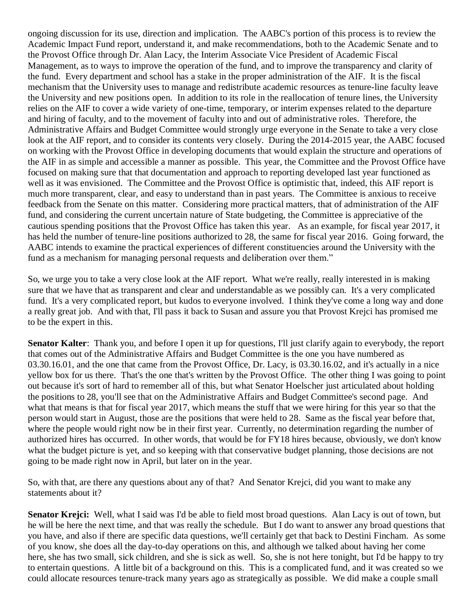ongoing discussion for its use, direction and implication. The AABC's portion of this process is to review the Academic Impact Fund report, understand it, and make recommendations, both to the Academic Senate and to the Provost Office through Dr. Alan Lacy, the Interim Associate Vice President of Academic Fiscal Management, as to ways to improve the operation of the fund, and to improve the transparency and clarity of the fund. Every department and school has a stake in the proper administration of the AIF. It is the fiscal mechanism that the University uses to manage and redistribute academic resources as tenure-line faculty leave the University and new positions open. In addition to its role in the reallocation of tenure lines, the University relies on the AIF to cover a wide variety of one-time, temporary, or interim expenses related to the departure and hiring of faculty, and to the movement of faculty into and out of administrative roles. Therefore, the Administrative Affairs and Budget Committee would strongly urge everyone in the Senate to take a very close look at the AIF report, and to consider its contents very closely. During the 2014-2015 year, the AABC focused on working with the Provost Office in developing documents that would explain the structure and operations of the AIF in as simple and accessible a manner as possible. This year, the Committee and the Provost Office have focused on making sure that that documentation and approach to reporting developed last year functioned as well as it was envisioned. The Committee and the Provost Office is optimistic that, indeed, this AIF report is much more transparent, clear, and easy to understand than in past years. The Committee is anxious to receive feedback from the Senate on this matter. Considering more practical matters, that of administration of the AIF fund, and considering the current uncertain nature of State budgeting, the Committee is appreciative of the cautious spending positions that the Provost Office has taken this year. As an example, for fiscal year 2017, it has held the number of tenure-line positions authorized to 28, the same for fiscal year 2016. Going forward, the AABC intends to examine the practical experiences of different constituencies around the University with the fund as a mechanism for managing personal requests and deliberation over them."

So, we urge you to take a very close look at the AIF report. What we're really, really interested in is making sure that we have that as transparent and clear and understandable as we possibly can. It's a very complicated fund. It's a very complicated report, but kudos to everyone involved. I think they've come a long way and done a really great job. And with that, I'll pass it back to Susan and assure you that Provost Krejci has promised me to be the expert in this.

**Senator Kalter**: Thank you, and before I open it up for questions, I'll just clarify again to everybody, the report that comes out of the Administrative Affairs and Budget Committee is the one you have numbered as 03.30.16.01, and the one that came from the Provost Office, Dr. Lacy, is 03.30.16.02, and it's actually in a nice yellow box for us there. That's the one that's written by the Provost Office. The other thing I was going to point out because it's sort of hard to remember all of this, but what Senator Hoelscher just articulated about holding the positions to 28, you'll see that on the Administrative Affairs and Budget Committee's second page. And what that means is that for fiscal year 2017, which means the stuff that we were hiring for this year so that the person would start in August, those are the positions that were held to 28. Same as the fiscal year before that, where the people would right now be in their first year. Currently, no determination regarding the number of authorized hires has occurred. In other words, that would be for FY18 hires because, obviously, we don't know what the budget picture is yet, and so keeping with that conservative budget planning, those decisions are not going to be made right now in April, but later on in the year.

So, with that, are there any questions about any of that? And Senator Krejci, did you want to make any statements about it?

**Senator Krejci:** Well, what I said was I'd be able to field most broad questions. Alan Lacy is out of town, but he will be here the next time, and that was really the schedule. But I do want to answer any broad questions that you have, and also if there are specific data questions, we'll certainly get that back to Destini Fincham. As some of you know, she does all the day-to-day operations on this, and although we talked about having her come here, she has two small, sick children, and she is sick as well. So, she is not here tonight, but I'd be happy to try to entertain questions. A little bit of a background on this. This is a complicated fund, and it was created so we could allocate resources tenure-track many years ago as strategically as possible. We did make a couple small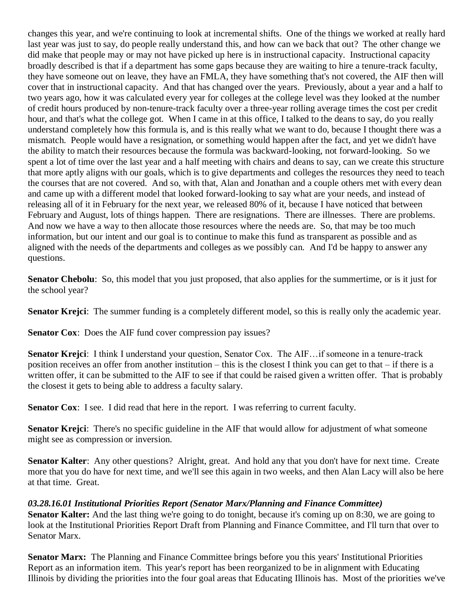changes this year, and we're continuing to look at incremental shifts. One of the things we worked at really hard last year was just to say, do people really understand this, and how can we back that out? The other change we did make that people may or may not have picked up here is in instructional capacity. Instructional capacity broadly described is that if a department has some gaps because they are waiting to hire a tenure-track faculty, they have someone out on leave, they have an FMLA, they have something that's not covered, the AIF then will cover that in instructional capacity. And that has changed over the years. Previously, about a year and a half to two years ago, how it was calculated every year for colleges at the college level was they looked at the number of credit hours produced by non-tenure-track faculty over a three-year rolling average times the cost per credit hour, and that's what the college got. When I came in at this office, I talked to the deans to say, do you really understand completely how this formula is, and is this really what we want to do, because I thought there was a mismatch. People would have a resignation, or something would happen after the fact, and yet we didn't have the ability to match their resources because the formula was backward-looking, not forward-looking. So we spent a lot of time over the last year and a half meeting with chairs and deans to say, can we create this structure that more aptly aligns with our goals, which is to give departments and colleges the resources they need to teach the courses that are not covered. And so, with that, Alan and Jonathan and a couple others met with every dean and came up with a different model that looked forward-looking to say what are your needs, and instead of releasing all of it in February for the next year, we released 80% of it, because I have noticed that between February and August, lots of things happen. There are resignations. There are illnesses. There are problems. And now we have a way to then allocate those resources where the needs are. So, that may be too much information, but our intent and our goal is to continue to make this fund as transparent as possible and as aligned with the needs of the departments and colleges as we possibly can. And I'd be happy to answer any questions.

**Senator Chebolu:** So, this model that you just proposed, that also applies for the summertime, or is it just for the school year?

**Senator Krejci**: The summer funding is a completely different model, so this is really only the academic year.

**Senator Cox:** Does the AIF fund cover compression pay issues?

**Senator Krejci**: I think I understand your question, Senator Cox. The AIF…if someone in a tenure-track position receives an offer from another institution – this is the closest I think you can get to that – if there is a written offer, it can be submitted to the AIF to see if that could be raised given a written offer. That is probably the closest it gets to being able to address a faculty salary.

**Senator Cox**: I see. I did read that here in the report. I was referring to current faculty.

**Senator Krejci**: There's no specific guideline in the AIF that would allow for adjustment of what someone might see as compression or inversion.

**Senator Kalter**: Any other questions? Alright, great. And hold any that you don't have for next time. Create more that you do have for next time, and we'll see this again in two weeks, and then Alan Lacy will also be here at that time. Great.

#### *03.28.16.01 Institutional Priorities Report (Senator Marx/Planning and Finance Committee)*

**Senator Kalter:** And the last thing we're going to do tonight, because it's coming up on 8:30, we are going to look at the Institutional Priorities Report Draft from Planning and Finance Committee, and I'll turn that over to Senator Marx.

**Senator Marx:** The Planning and Finance Committee brings before you this years' Institutional Priorities Report as an information item. This year's report has been reorganized to be in alignment with Educating Illinois by dividing the priorities into the four goal areas that Educating Illinois has. Most of the priorities we've